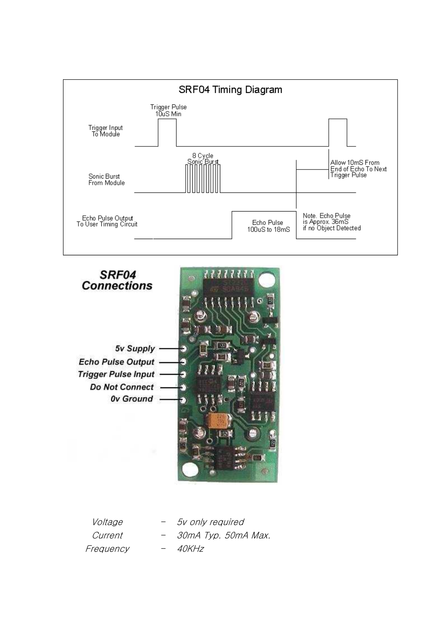



| <i>Voltage</i> |     | 5v only required    |
|----------------|-----|---------------------|
| Current        | $-$ | 30mA Typ. 50mA Max. |
| Frequency      |     | <i>40KHz</i>        |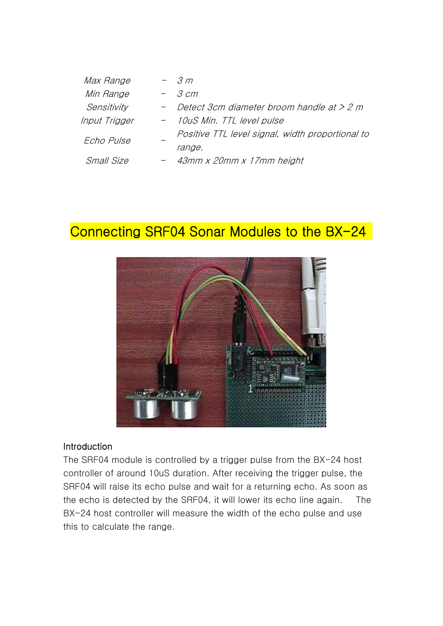| Max Range         |  | $-$ 3 m                                          |
|-------------------|--|--------------------------------------------------|
| Min Range         |  | $-$ 3 cm                                         |
| Sensitivity       |  | - Detect 3cm diameter broom handle at $> 2 m$    |
| Input Trigger     |  | - 10uS Min. TTL level pulse                      |
| Echo Pulse        |  | Positive TTL level signal, width proportional to |
|                   |  | range.                                           |
| <i>Small Size</i> |  | - 43mm x 20mm x 17mm height                      |

# Connecting SRF04 Sonar Modules to the BX-24



## Introduction

The SRF04 module is controlled by a trigger pulse from the BX-24 host controller of around 10uS duration. After receiving the trigger pulse, the SRF04 will raise its echo pulse and wait for a returning echo. As soon as the echo is detected by the SRF04, it will lower its echo line again. The BX-24 host controller will measure the width of the echo pulse and use this to calculate the range.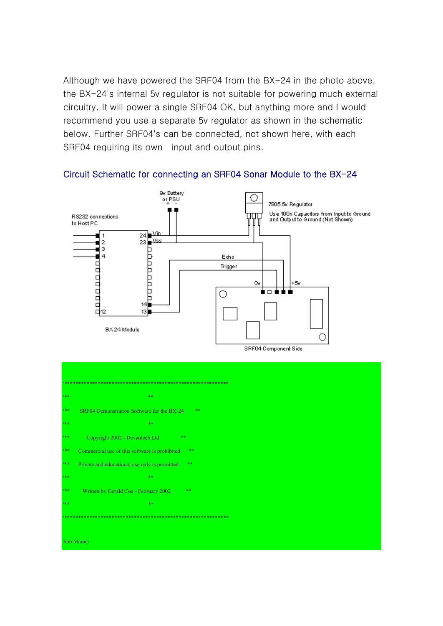Although we have powered the SRF04 from the BX-24 in the photo above, the BX-24's internal 5y regulator is not suitable for powering much external circuitry. It will power a single SRF04 OK, but anything more and I would recommend you use a separate 5v regulator as shown in the schematic below. Further SRF04's can be connected, not shown here, with each SRF04 requiring its own input and output pins.



### Circuit Schematic for connecting an SRF04 Sonar Module to the BX-24

| 1米米)  |                                                       |  |  |
|-------|-------------------------------------------------------|--|--|
| 日本米   | 米米                                                    |  |  |
| 株米    | **<br>SRF04 Demonstration Software for the BX-24      |  |  |
| 188   | 宋米                                                    |  |  |
| 188   | Copyright 2002 - Devantech Ltd<br><b>**</b>           |  |  |
| 188   | Commercial use of this software is prohibited<br>**   |  |  |
| 株米    | $**$<br>Private and educational use only is permitted |  |  |
| 188   | 宋米                                                    |  |  |
| 株米    | **<br>Written by Gerald Coe - February 2002           |  |  |
| 株米    | 米米                                                    |  |  |
| ***** |                                                       |  |  |
|       |                                                       |  |  |
|       | Sub Main $()$                                         |  |  |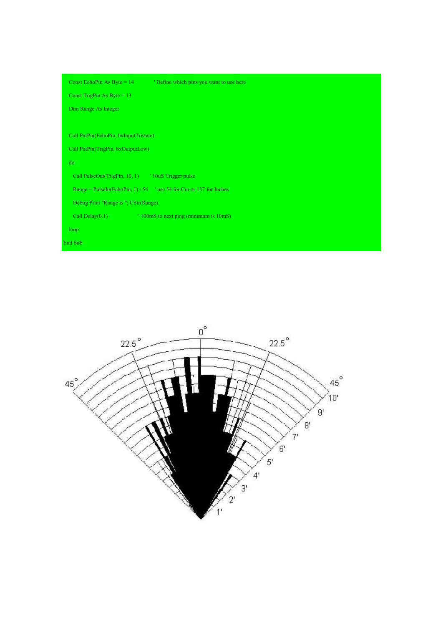| Const EchoPin As Byte = $14$                                        | 'Define which pins you want to use here |  |
|---------------------------------------------------------------------|-----------------------------------------|--|
| Const TrigPin As Byte = $13$                                        |                                         |  |
| Dim Range As Integer                                                |                                         |  |
|                                                                     |                                         |  |
| Call PutPin(EchoPin, bxInputTristate)                               |                                         |  |
| Call PutPin(TrigPin, bxOutputLow)                                   |                                         |  |
| do                                                                  |                                         |  |
| Call PulseOut(TrigPin, 10, 1) <sup>'10uS</sup> Trigger pulse        |                                         |  |
| Range = PulseIn(EchoPin, 1) \ 54 values 54 for Cm or 137 for Inches |                                         |  |
| Debug.Print "Range is "; CStr(Range)                                |                                         |  |
| Call Delay $(0.1)$                                                  | ' 100mS to next ping (minimum is 10mS)  |  |
| loop                                                                |                                         |  |
| End Sub                                                             |                                         |  |
|                                                                     |                                         |  |

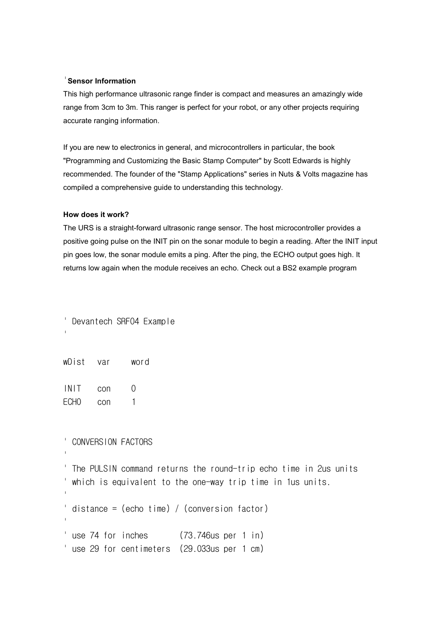### '**Sensor Information**

This high performance ultrasonic range finder is compact and measures an amazingly wide range from 3cm to 3m. This ranger is perfect for your robot, or any other projects requiring accurate ranging information.

If you are new to electronics in general, and microcontrollers in particular, the book "Programming and Customizing the Basic Stamp Computer" by Scott Edwards is highly recommended. The founder of the "Stamp Applications" series in Nuts & Volts magazine has compiled a comprehensive guide to understanding this technology.

#### **How does it work?**

The URS is a straight-forward ultrasonic range sensor. The host microcontroller provides a positive going pulse on the INIT pin on the sonar module to begin a reading. After the INIT input pin goes low, the sonar module emits a ping. After the ping, the ECHO output goes high. It returns low again when the module receives an echo. Check out a BS2 example program

Devantech SRF04 Example

| wDist | var | word |
|-------|-----|------|
|-------|-----|------|

'

'

INIT con 0 ECHO con 1

' CONVERSION FACTORS

The PULSIN command returns the round-trip echo time in 2us units which is equivalent to the one-way trip time in 1us units. ' $distance = (echo time) / (conversion factor)$ '' and 'n bestelling use 74 for inches (73.746us per 1 in) ' use 29 for centimeters (29.033us per 1 cm)